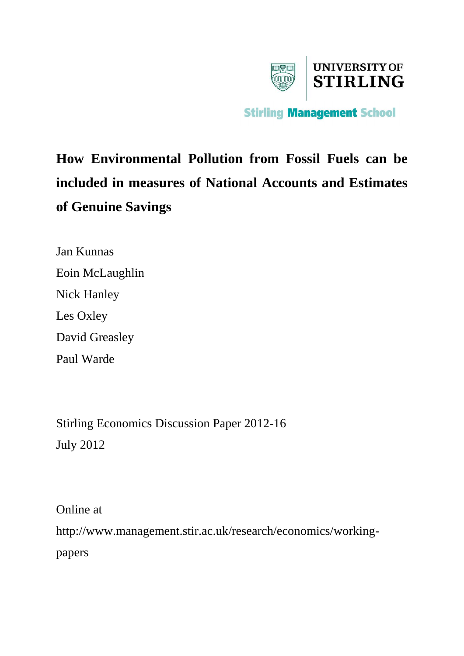

# **How Environmental Pollution from Fossil Fuels can be included in measures of National Accounts and Estimates of Genuine Savings**

Jan Kunnas Eoin McLaughlin Nick Hanley Les Oxley David Greasley Paul Warde

Stirling Economics Discussion Paper 2012-16 July 2012

Online at http://www.management.stir.ac.uk/research/economics/workingpapers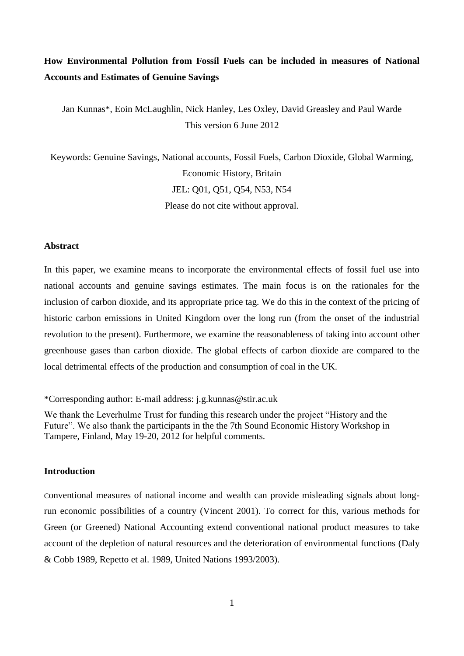# **How Environmental Pollution from Fossil Fuels can be included in measures of National Accounts and Estimates of Genuine Savings**

Jan Kunnas\*, Eoin McLaughlin, Nick Hanley, Les Oxley, David Greasley and Paul Warde This version 6 June 2012

Keywords: Genuine Savings, National accounts, Fossil Fuels, Carbon Dioxide, Global Warming, Economic History, Britain JEL: Q01, Q51, Q54, N53, N54 Please do not cite without approval.

### **Abstract**

In this paper, we examine means to incorporate the environmental effects of fossil fuel use into national accounts and genuine savings estimates. The main focus is on the rationales for the inclusion of carbon dioxide, and its appropriate price tag. We do this in the context of the pricing of historic carbon emissions in United Kingdom over the long run (from the onset of the industrial revolution to the present). Furthermore, we examine the reasonableness of taking into account other greenhouse gases than carbon dioxide. The global effects of carbon dioxide are compared to the local detrimental effects of the production and consumption of coal in the UK.

\*Corresponding author: E-mail address: j.g.kunnas@stir.ac.uk

We thank the Leverhulme Trust for funding this research under the project "History and the Future". We also thank the participants in the the 7th Sound Economic History Workshop in Tampere, Finland, May 19-20, 2012 for helpful comments.

### **Introduction**

Conventional measures of national income and wealth can provide misleading signals about longrun economic possibilities of a country (Vincent 2001). To correct for this, various methods for Green (or Greened) National Accounting extend conventional national product measures to take account of the depletion of natural resources and the deterioration of environmental functions (Daly & Cobb 1989, Repetto et al. 1989, United Nations 1993/2003).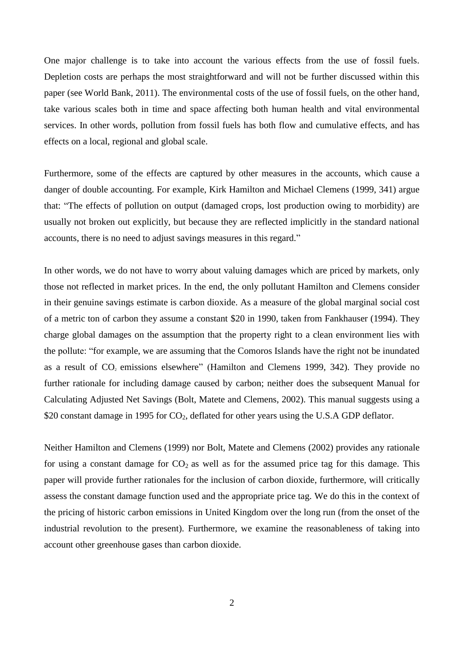One major challenge is to take into account the various effects from the use of fossil fuels. Depletion costs are perhaps the most straightforward and will not be further discussed within this paper (see World Bank, 2011). The environmental costs of the use of fossil fuels, on the other hand, take various scales both in time and space affecting both human health and vital environmental services. In other words, pollution from fossil fuels has both flow and cumulative effects, and has effects on a local, regional and global scale.

Furthermore, some of the effects are captured by other measures in the accounts, which cause a danger of double accounting. For example, Kirk Hamilton and Michael Clemens (1999, 341) argue that: "The effects of pollution on output (damaged crops, lost production owing to morbidity) are usually not broken out explicitly, but because they are reflected implicitly in the standard national accounts, there is no need to adjust savings measures in this regard."

In other words, we do not have to worry about valuing damages which are priced by markets, only those not reflected in market prices. In the end, the only pollutant Hamilton and Clemens consider in their genuine savings estimate is carbon dioxide. As a measure of the global marginal social cost of a metric ton of carbon they assume a constant \$20 in 1990, taken from Fankhauser (1994). They charge global damages on the assumption that the property right to a clean environment lies with the pollute: "for example, we are assuming that the Comoros Islands have the right not be inundated as a result of  $CO<sub>2</sub>$  emissions elsewhere" (Hamilton and Clemens 1999, 342). They provide no further rationale for including damage caused by carbon; neither does the subsequent Manual for Calculating Adjusted Net Savings (Bolt, Matete and Clemens, 2002). This manual suggests using a \$20 constant damage in 1995 for CO<sub>2</sub>, deflated for other years using the U.S.A GDP deflator.

Neither Hamilton and Clemens (1999) nor Bolt, Matete and Clemens (2002) provides any rationale for using a constant damage for  $CO<sub>2</sub>$  as well as for the assumed price tag for this damage. This paper will provide further rationales for the inclusion of carbon dioxide, furthermore, will critically assess the constant damage function used and the appropriate price tag. We do this in the context of the pricing of historic carbon emissions in United Kingdom over the long run (from the onset of the industrial revolution to the present). Furthermore, we examine the reasonableness of taking into account other greenhouse gases than carbon dioxide.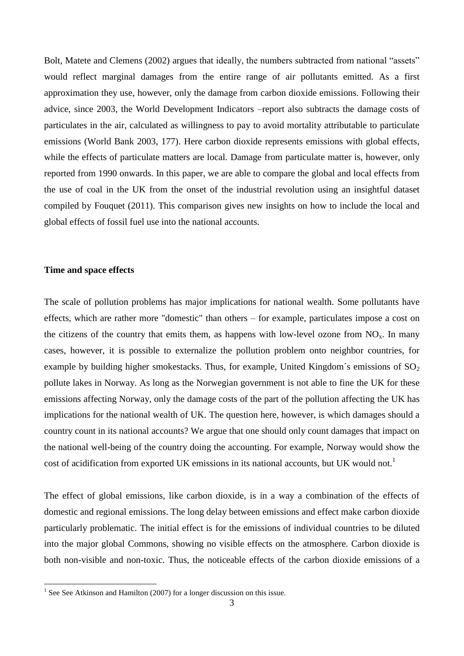Bolt, Matete and Clemens (2002) argues that ideally, the numbers subtracted from national "assets" would reflect marginal damages from the entire range of air pollutants emitted. As a first approximation they use, however, only the damage from carbon dioxide emissions. Following their advice, since 2003, the World Development Indicators –report also subtracts the damage costs of particulates in the air, calculated as willingness to pay to avoid mortality attributable to particulate emissions (World Bank 2003, 177). Here carbon dioxide represents emissions with global effects, while the effects of particulate matters are local. Damage from particulate matter is, however, only reported from 1990 onwards. In this paper, we are able to compare the global and local effects from the use of coal in the UK from the onset of the industrial revolution using an insightful dataset compiled by Fouquet (2011). This comparison gives new insights on how to include the local and global effects of fossil fuel use into the national accounts.

# **Time and space effects**

The scale of pollution problems has major implications for national wealth. Some pollutants have effects, which are rather more "domestic" than others – for example, particulates impose a cost on the citizens of the country that emits them, as happens with low-level ozone from  $NO<sub>x</sub>$ . In many cases, however, it is possible to externalize the pollution problem onto neighbor countries, for example by building higher smokestacks. Thus, for example, United Kingdom's emissions of  $SO<sub>2</sub>$ pollute lakes in Norway. As long as the Norwegian government is not able to fine the UK for these emissions affecting Norway, only the damage costs of the part of the pollution affecting the UK has implications for the national wealth of UK. The question here, however, is which damages should a country count in its national accounts? We argue that one should only count damages that impact on the national well-being of the country doing the accounting. For example, Norway would show the cost of acidification from exported UK emissions in its national accounts, but UK would not.<sup>1</sup>

The effect of global emissions, like carbon dioxide, is in a way a combination of the effects of domestic and regional emissions. The long delay between emissions and effect make carbon dioxide particularly problematic. The initial effect is for the emissions of individual countries to be diluted into the major global Commons, showing no visible effects on the atmosphere. Carbon dioxide is both non-visible and non-toxic. Thus, the noticeable effects of the carbon dioxide emissions of a

 1 See See Atkinson and Hamilton (2007) for a longer discussion on this issue.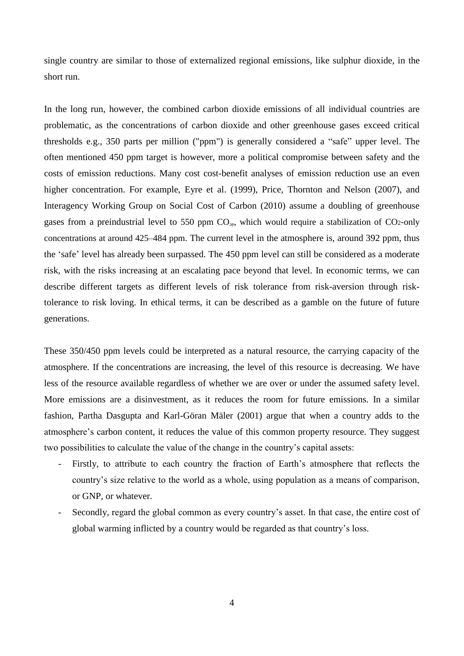single country are similar to those of externalized regional emissions, like sulphur dioxide, in the short run.

In the long run, however, the combined carbon dioxide emissions of all individual countries are problematic, as the concentrations of carbon dioxide and other greenhouse gases exceed critical thresholds e.g., 350 parts per million ("ppm") is generally considered a "safe" upper level. The often mentioned 450 ppm target is however, more a political compromise between safety and the costs of emission reductions. Many cost cost-benefit analyses of emission reduction use an even higher concentration. For example, Eyre et al. (1999), Price, Thornton and Nelson (2007), and Interagency Working Group on Social Cost of Carbon (2010) assume a doubling of greenhouse gases from a preindustrial level to 550 ppm  $CO<sub>2e</sub>$ , which would require a stabilization of CO2-only concentrations at around 425–484 ppm. The current level in the atmosphere is, around 392 ppm, thus the 'safe' level has already been surpassed. The 450 ppm level can still be considered as a moderate risk, with the risks increasing at an escalating pace beyond that level. In economic terms, we can describe different targets as different levels of risk tolerance from risk-aversion through risktolerance to risk loving. In ethical terms, it can be described as a gamble on the future of future generations.

These 350/450 ppm levels could be interpreted as a natural resource, the carrying capacity of the atmosphere. If the concentrations are increasing, the level of this resource is decreasing. We have less of the resource available regardless of whether we are over or under the assumed safety level. More emissions are a disinvestment, as it reduces the room for future emissions. In a similar fashion, Partha Dasgupta and Karl-Göran Mäler (2001) argue that when a country adds to the atmosphere's carbon content, it reduces the value of this common property resource. They suggest two possibilities to calculate the value of the change in the country's capital assets:

- Firstly, to attribute to each country the fraction of Earth's atmosphere that reflects the country's size relative to the world as a whole, using population as a means of comparison, or GNP, or whatever.
- Secondly, regard the global common as every country's asset. In that case, the entire cost of global warming inflicted by a country would be regarded as that country's loss.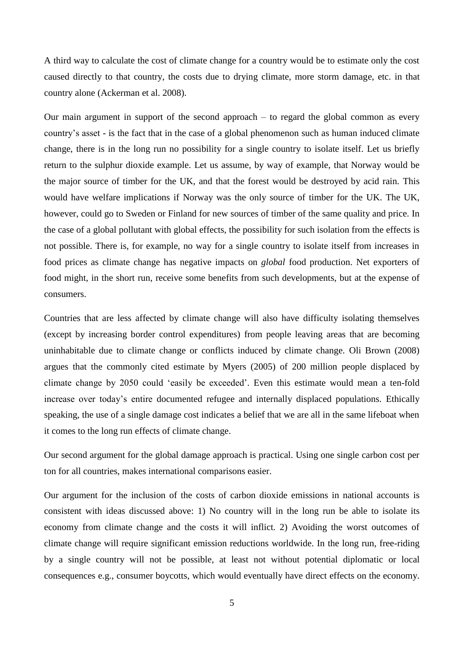A third way to calculate the cost of climate change for a country would be to estimate only the cost caused directly to that country, the costs due to drying climate, more storm damage, etc. in that country alone (Ackerman et al. 2008).

Our main argument in support of the second approach – to regard the global common as every country's asset - is the fact that in the case of a global phenomenon such as human induced climate change, there is in the long run no possibility for a single country to isolate itself. Let us briefly return to the sulphur dioxide example. Let us assume, by way of example, that Norway would be the major source of timber for the UK, and that the forest would be destroyed by acid rain. This would have welfare implications if Norway was the only source of timber for the UK. The UK, however, could go to Sweden or Finland for new sources of timber of the same quality and price. In the case of a global pollutant with global effects, the possibility for such isolation from the effects is not possible. There is, for example, no way for a single country to isolate itself from increases in food prices as climate change has negative impacts on *global* food production. Net exporters of food might, in the short run, receive some benefits from such developments, but at the expense of consumers.

Countries that are less affected by climate change will also have difficulty isolating themselves (except by increasing border control expenditures) from people leaving areas that are becoming uninhabitable due to climate change or conflicts induced by climate change. Oli Brown (2008) argues that the commonly cited estimate by Myers (2005) of 200 million people displaced by climate change by 2050 could 'easily be exceeded'. Even this estimate would mean a ten-fold increase over today's entire documented refugee and internally displaced populations. Ethically speaking, the use of a single damage cost indicates a belief that we are all in the same lifeboat when it comes to the long run effects of climate change.

Our second argument for the global damage approach is practical. Using one single carbon cost per ton for all countries, makes international comparisons easier.

Our argument for the inclusion of the costs of carbon dioxide emissions in national accounts is consistent with ideas discussed above: 1) No country will in the long run be able to isolate its economy from climate change and the costs it will inflict. 2) Avoiding the worst outcomes of climate change will require significant emission reductions worldwide. In the long run, free-riding by a single country will not be possible, at least not without potential diplomatic or local consequences e.g., consumer boycotts, which would eventually have direct effects on the economy.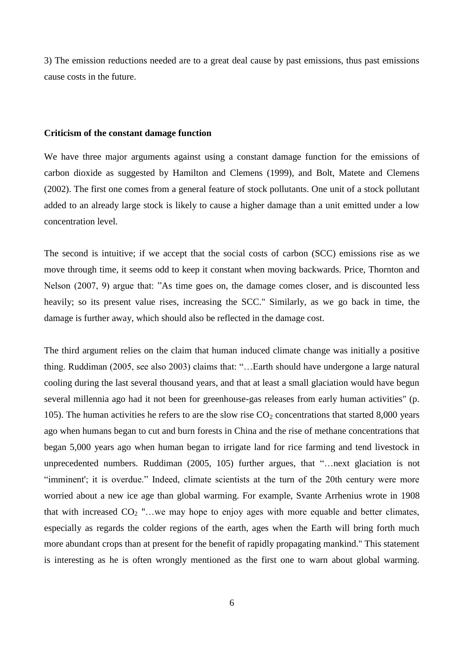3) The emission reductions needed are to a great deal cause by past emissions, thus past emissions cause costs in the future.

#### **Criticism of the constant damage function**

We have three major arguments against using a constant damage function for the emissions of carbon dioxide as suggested by Hamilton and Clemens (1999), and Bolt, Matete and Clemens (2002). The first one comes from a general feature of stock pollutants. One unit of a stock pollutant added to an already large stock is likely to cause a higher damage than a unit emitted under a low concentration level.

The second is intuitive; if we accept that the social costs of carbon (SCC) emissions rise as we move through time, it seems odd to keep it constant when moving backwards. Price, Thornton and Nelson (2007, 9) argue that: "As time goes on, the damage comes closer, and is discounted less heavily; so its present value rises, increasing the SCC." Similarly, as we go back in time, the damage is further away, which should also be reflected in the damage cost.

The third argument relies on the claim that human induced climate change was initially a positive thing. Ruddiman (2005, see also 2003) claims that: "…Earth should have undergone a large natural cooling during the last several thousand years, and that at least a small glaciation would have begun several millennia ago had it not been for greenhouse-gas releases from early human activities" (p. 105). The human activities he refers to are the slow rise  $CO<sub>2</sub>$  concentrations that started 8,000 years ago when humans began to cut and burn forests in China and the rise of methane concentrations that began 5,000 years ago when human began to irrigate land for rice farming and tend livestock in unprecedented numbers. Ruddiman (2005, 105) further argues, that "…next glaciation is not "imminent'; it is overdue." Indeed, climate scientists at the turn of the 20th century were more worried about a new ice age than global warming. For example, Svante Arrhenius wrote in 1908 that with increased  $CO_2$  "...we may hope to enjoy ages with more equable and better climates, especially as regards the colder regions of the earth, ages when the Earth will bring forth much more abundant crops than at present for the benefit of rapidly propagating mankind." This statement is interesting as he is often wrongly mentioned as the first one to warn about global warming.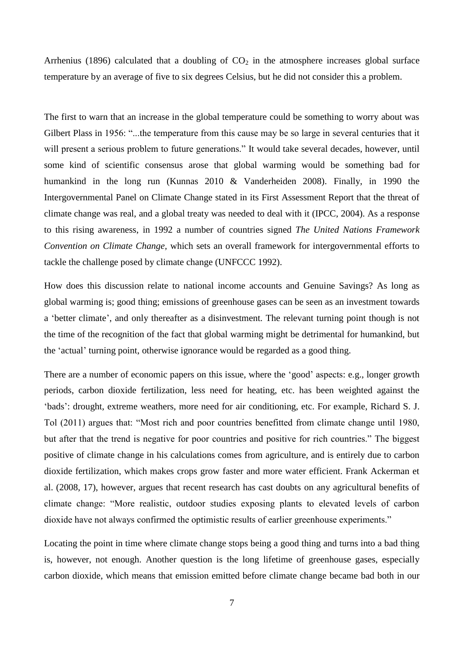Arrhenius (1896) calculated that a doubling of  $CO<sub>2</sub>$  in the atmosphere increases global surface temperature by an average of five to six degrees Celsius, but he did not consider this a problem.

The first to warn that an increase in the global temperature could be something to worry about was Gilbert Plass in 1956: "...the temperature from this cause may be so large in several centuries that it will present a serious problem to future generations." It would take several decades, however, until some kind of scientific consensus arose that global warming would be something bad for humankind in the long run (Kunnas 2010 & Vanderheiden 2008). Finally, in 1990 the Intergovernmental Panel on Climate Change stated in its First Assessment Report that the threat of climate change was real, and a global treaty was needed to deal with it (IPCC, 2004). As a response to this rising awareness, in 1992 a number of countries signed *The United Nations Framework Convention on Climate Change,* which sets an overall framework for intergovernmental efforts to tackle the challenge posed by climate change (UNFCCC 1992).

How does this discussion relate to national income accounts and Genuine Savings? As long as global warming is; good thing; emissions of greenhouse gases can be seen as an investment towards a 'better climate', and only thereafter as a disinvestment. The relevant turning point though is not the time of the recognition of the fact that global warming might be detrimental for humankind, but the 'actual' turning point, otherwise ignorance would be regarded as a good thing.

There are a number of economic papers on this issue, where the 'good' aspects: e.g., longer growth periods, carbon dioxide fertilization, less need for heating, etc. has been weighted against the 'bads': drought, extreme weathers, more need for air conditioning, etc. For example, Richard S. J. Tol (2011) argues that: "Most rich and poor countries benefitted from climate change until 1980, but after that the trend is negative for poor countries and positive for rich countries." The biggest positive of climate change in his calculations comes from agriculture, and is entirely due to carbon dioxide fertilization, which makes crops grow faster and more water efficient. Frank Ackerman et al. (2008, 17), however, argues that recent research has cast doubts on any agricultural benefits of climate change: "More realistic, outdoor studies exposing plants to elevated levels of carbon dioxide have not always confirmed the optimistic results of earlier greenhouse experiments."

Locating the point in time where climate change stops being a good thing and turns into a bad thing is, however, not enough. Another question is the long lifetime of greenhouse gases, especially carbon dioxide, which means that emission emitted before climate change became bad both in our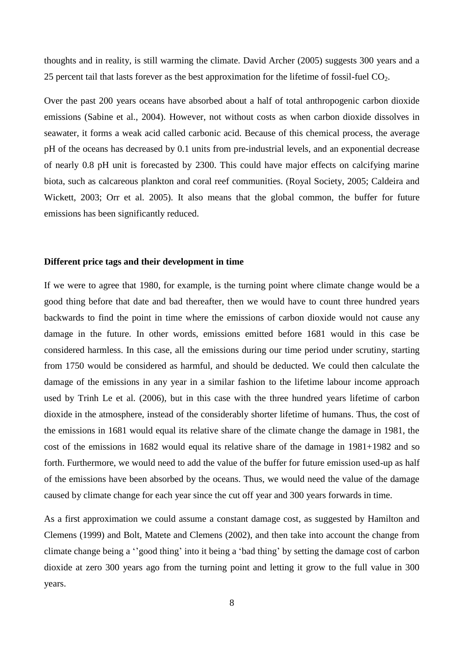thoughts and in reality, is still warming the climate. David Archer (2005) suggests 300 years and a 25 percent tail that lasts forever as the best approximation for the lifetime of fossil-fuel  $CO<sub>2</sub>$ .

Over the past 200 years oceans have absorbed about a half of total anthropogenic carbon dioxide emissions (Sabine et al., 2004). However, not without costs as when carbon dioxide dissolves in seawater, it forms a weak acid called carbonic acid. Because of this chemical process, the average pH of the oceans has decreased by 0.1 units from pre-industrial levels, and an exponential decrease of nearly 0.8 pH unit is forecasted by 2300. This could have major effects on calcifying marine biota, such as calcareous plankton and coral reef communities. (Royal Society, 2005; Caldeira and Wickett, 2003; Orr et al. 2005). It also means that the global common, the buffer for future emissions has been significantly reduced.

### **Different price tags and their development in time**

If we were to agree that 1980, for example, is the turning point where climate change would be a good thing before that date and bad thereafter, then we would have to count three hundred years backwards to find the point in time where the emissions of carbon dioxide would not cause any damage in the future. In other words, emissions emitted before 1681 would in this case be considered harmless. In this case, all the emissions during our time period under scrutiny, starting from 1750 would be considered as harmful, and should be deducted. We could then calculate the damage of the emissions in any year in a similar fashion to the lifetime labour income approach used by Trinh Le et al. (2006), but in this case with the three hundred years lifetime of carbon dioxide in the atmosphere, instead of the considerably shorter lifetime of humans. Thus, the cost of the emissions in 1681 would equal its relative share of the climate change the damage in 1981, the cost of the emissions in 1682 would equal its relative share of the damage in 1981+1982 and so forth. Furthermore, we would need to add the value of the buffer for future emission used-up as half of the emissions have been absorbed by the oceans. Thus, we would need the value of the damage caused by climate change for each year since the cut off year and 300 years forwards in time.

As a first approximation we could assume a constant damage cost, as suggested by Hamilton and Clemens (1999) and Bolt, Matete and Clemens (2002), and then take into account the change from climate change being a ''good thing' into it being a 'bad thing' by setting the damage cost of carbon dioxide at zero 300 years ago from the turning point and letting it grow to the full value in 300 years.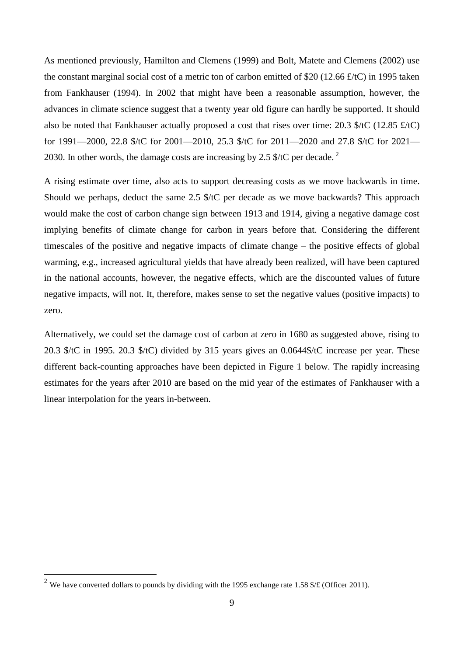As mentioned previously, Hamilton and Clemens (1999) and Bolt, Matete and Clemens (2002) use the constant marginal social cost of a metric ton of carbon emitted of \$20 (12.66 £/tC) in 1995 taken from Fankhauser (1994). In 2002 that might have been a reasonable assumption, however, the advances in climate science suggest that a twenty year old figure can hardly be supported. It should also be noted that Fankhauser actually proposed a cost that rises over time: 20.3 \$/tC (12.85 £/tC) for 1991—2000, 22.8 \$/tC for 2001—2010, 25.3 \$/tC for 2011—2020 and 27.8 \$/tC for 2021— 2030. In other words, the damage costs are increasing by 2.5  $\frac{1}{2}$  /C per decade.<sup>2</sup>

A rising estimate over time, also acts to support decreasing costs as we move backwards in time. Should we perhaps, deduct the same 2.5 \$/tC per decade as we move backwards? This approach would make the cost of carbon change sign between 1913 and 1914, giving a negative damage cost implying benefits of climate change for carbon in years before that. Considering the different timescales of the positive and negative impacts of climate change – the positive effects of global warming, e.g., increased agricultural yields that have already been realized, will have been captured in the national accounts, however, the negative effects, which are the discounted values of future negative impacts, will not. It, therefore, makes sense to set the negative values (positive impacts) to zero.

Alternatively, we could set the damage cost of carbon at zero in 1680 as suggested above, rising to 20.3 \$/tC in 1995. 20.3 \$/tC) divided by 315 years gives an 0.0644\$/tC increase per year. These different back-counting approaches have been depicted in Figure 1 below. The rapidly increasing estimates for the years after 2010 are based on the mid year of the estimates of Fankhauser with a linear interpolation for the years in-between.

1

<sup>&</sup>lt;sup>2</sup> We have converted dollars to pounds by dividing with the 1995 exchange rate 1.58 \$/ $\pounds$  (Officer 2011).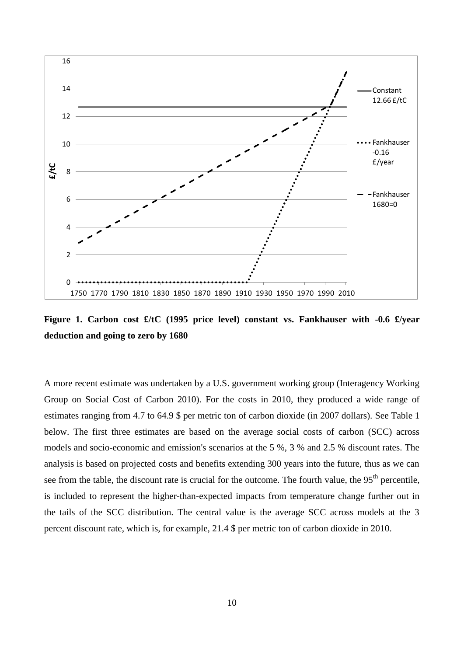

**Figure 1. Carbon cost £/tC (1995 price level) constant vs. Fankhauser with -0.6 £/year deduction and going to zero by 1680**

A more recent estimate was undertaken by a U.S. government working group (Interagency Working Group on Social Cost of Carbon 2010). For the costs in 2010, they produced a wide range of estimates ranging from 4.7 to 64.9 \$ per metric ton of carbon dioxide (in 2007 dollars). See Table 1 below. The first three estimates are based on the average social costs of carbon (SCC) across models and socio-economic and emission's scenarios at the 5 %, 3 % and 2.5 % discount rates. The analysis is based on projected costs and benefits extending 300 years into the future, thus as we can see from the table, the discount rate is crucial for the outcome. The fourth value, the  $95<sup>th</sup>$  percentile, is included to represent the higher-than-expected impacts from temperature change further out in the tails of the SCC distribution. The central value is the average SCC across models at the 3 percent discount rate, which is, for example, 21.4 \$ per metric ton of carbon dioxide in 2010.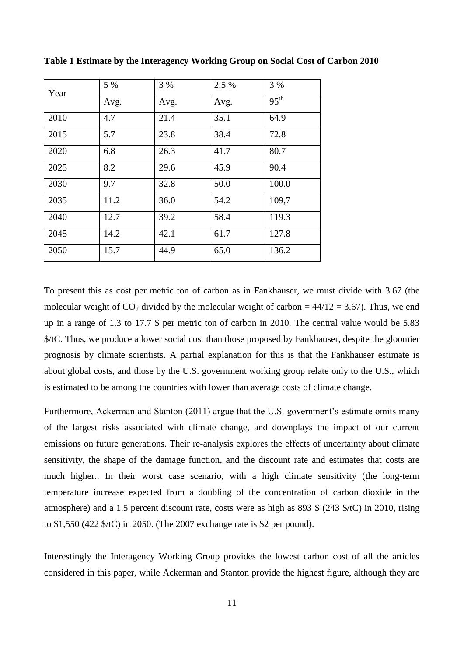| Year | 5 %  | 3 %  | 2.5 % | 3 %              |
|------|------|------|-------|------------------|
|      | Avg. | Avg. | Avg.  | $95^{\text{th}}$ |
| 2010 | 4.7  | 21.4 | 35.1  | 64.9             |
| 2015 | 5.7  | 23.8 | 38.4  | 72.8             |
| 2020 | 6.8  | 26.3 | 41.7  | 80.7             |
| 2025 | 8.2  | 29.6 | 45.9  | 90.4             |
| 2030 | 9.7  | 32.8 | 50.0  | 100.0            |
| 2035 | 11.2 | 36.0 | 54.2  | 109,7            |
| 2040 | 12.7 | 39.2 | 58.4  | 119.3            |
| 2045 | 14.2 | 42.1 | 61.7  | 127.8            |
| 2050 | 15.7 | 44.9 | 65.0  | 136.2            |

**Table 1 Estimate by the Interagency Working Group on Social Cost of Carbon 2010**

To present this as cost per metric ton of carbon as in Fankhauser, we must divide with 3.67 (the molecular weight of  $CO_2$  divided by the molecular weight of carbon = 44/12 = 3.67). Thus, we end up in a range of 1.3 to 17.7 \$ per metric ton of carbon in 2010. The central value would be 5.83 \$/tC. Thus, we produce a lower social cost than those proposed by Fankhauser, despite the gloomier prognosis by climate scientists. A partial explanation for this is that the Fankhauser estimate is about global costs, and those by the U.S. government working group relate only to the U.S., which is estimated to be among the countries with lower than average costs of climate change.

Furthermore, Ackerman and Stanton (2011) argue that the U.S. government's estimate omits many of the largest risks associated with climate change, and downplays the impact of our current emissions on future generations. Their re-analysis explores the effects of uncertainty about climate sensitivity, the shape of the damage function, and the discount rate and estimates that costs are much higher.. In their worst case scenario, with a high climate sensitivity (the long-term temperature increase expected from a doubling of the concentration of carbon dioxide in the atmosphere) and a 1.5 percent discount rate, costs were as high as 893 \$ (243 \$/tC) in 2010, rising to \$1,550 (422 \$/tC) in 2050. (The 2007 exchange rate is \$2 per pound).

Interestingly the Interagency Working Group provides the lowest carbon cost of all the articles considered in this paper, while Ackerman and Stanton provide the highest figure, although they are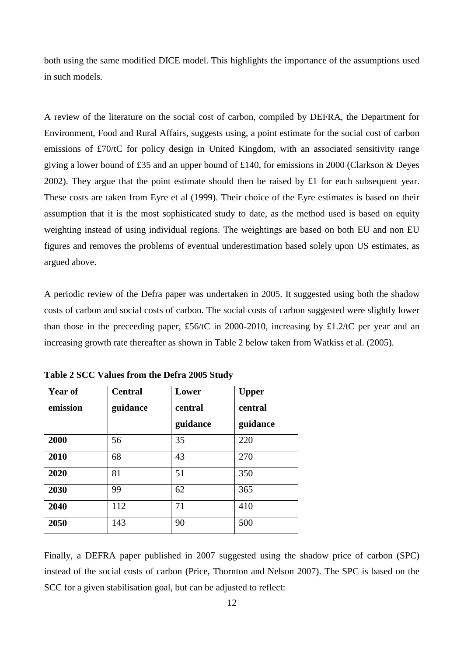both using the same modified DICE model. This highlights the importance of the assumptions used in such models.

A review of the literature on the social cost of carbon, compiled by DEFRA, the Department for Environment, Food and Rural Affairs, suggests using, a point estimate for the social cost of carbon emissions of £70/tC for policy design in United Kingdom, with an associated sensitivity range giving a lower bound of £35 and an upper bound of £140, for emissions in 2000 (Clarkson & Deyes 2002). They argue that the point estimate should then be raised by  $\pounds 1$  for each subsequent year. These costs are taken from Eyre et al (1999). Their choice of the Eyre estimates is based on their assumption that it is the most sophisticated study to date, as the method used is based on equity weighting instead of using individual regions. The weightings are based on both EU and non EU figures and removes the problems of eventual underestimation based solely upon US estimates, as argued above.

A periodic review of the Defra paper was undertaken in 2005. It suggested using both the shadow costs of carbon and social costs of carbon. The social costs of carbon suggested were slightly lower than those in the preceeding paper, £56/tC in 2000-2010, increasing by £1.2/tC per year and an increasing growth rate thereafter as shown in Table 2 below taken from Watkiss et al. (2005).

| <b>Year of</b><br>emission | <b>Central</b><br>guidance | Lower<br>central | <b>Upper</b><br>central |  |  |
|----------------------------|----------------------------|------------------|-------------------------|--|--|
|                            |                            | guidance         | guidance                |  |  |
| 2000                       | 56                         | 35               | 220                     |  |  |
| 2010                       | 68                         | 43               | 270                     |  |  |
| 2020                       | 81                         | 51               | 350                     |  |  |
| 2030                       | 99                         | 62               | 365                     |  |  |
| 2040                       | 112                        | 71               | 410                     |  |  |
| 2050                       | 143                        | 90               | 500                     |  |  |

**Table 2 SCC Values from the Defra 2005 Study**

Finally, a DEFRA paper published in 2007 suggested using the shadow price of carbon (SPC) instead of the social costs of carbon (Price, Thornton and Nelson 2007). The SPC is based on the SCC for a given stabilisation goal, but can be adjusted to reflect: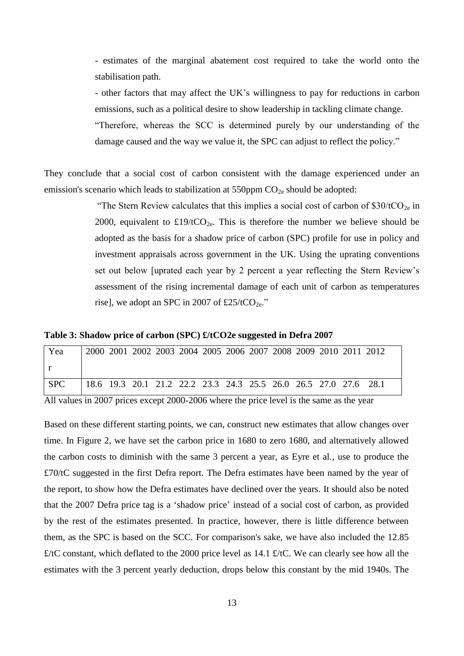- estimates of the marginal abatement cost required to take the world onto the stabilisation path.

- other factors that may affect the UK's willingness to pay for reductions in carbon emissions, such as a political desire to show leadership in tackling climate change. "Therefore, whereas the SCC is determined purely by our understanding of the

damage caused and the way we value it, the SPC can adjust to reflect the policy."

They conclude that a social cost of carbon consistent with the damage experienced under an emission's scenario which leads to stabilization at  $550$ ppm  $CO<sub>2e</sub>$  should be adopted:

> "The Stern Review calculates that this implies a social cost of carbon of  $$30/tCO<sub>2e</sub>$  in 2000, equivalent to £19/tCO<sub>2e</sub>. This is therefore the number we believe should be adopted as the basis for a shadow price of carbon (SPC) profile for use in policy and investment appraisals across government in the UK. Using the uprating conventions set out below [uprated each year by 2 percent a year reflecting the Stern Review's assessment of the rising incremental damage of each unit of carbon as temperatures rise], we adopt an SPC in 2007 of £25/tCO<sub>2e</sub>."

**Table 3: Shadow price of carbon (SPC) £/tCO2e suggested in Defra 2007**

| Yea        |  | 2000 2001 2002 2003 2004 2005 2006 2007 2008 2009 2010 2011 2012 |  |  |  |  |  |
|------------|--|------------------------------------------------------------------|--|--|--|--|--|
|            |  |                                                                  |  |  |  |  |  |
| <b>SPC</b> |  | 18.6 19.3 20.1 21.2 22.2 23.3 24.3 25.5 26.0 26.5 27.0 27.6 28.1 |  |  |  |  |  |

All values in 2007 prices except 2000-2006 where the price level is the same as the year

Based on these different starting points, we can, construct new estimates that allow changes over time. In Figure 2, we have set the carbon price in 1680 to zero 1680, and alternatively allowed the carbon costs to diminish with the same 3 percent a year, as Eyre et al., use to produce the £70/tC suggested in the first Defra report. The Defra estimates have been named by the year of the report, to show how the Defra estimates have declined over the years. It should also be noted that the 2007 Defra price tag is a 'shadow price' instead of a social cost of carbon, as provided by the rest of the estimates presented. In practice, however, there is little difference between them, as the SPC is based on the SCC. For comparison's sake, we have also included the 12.85 £/tC constant, which deflated to the 2000 price level as 14.1 £/tC. We can clearly see how all the estimates with the 3 percent yearly deduction, drops below this constant by the mid 1940s. The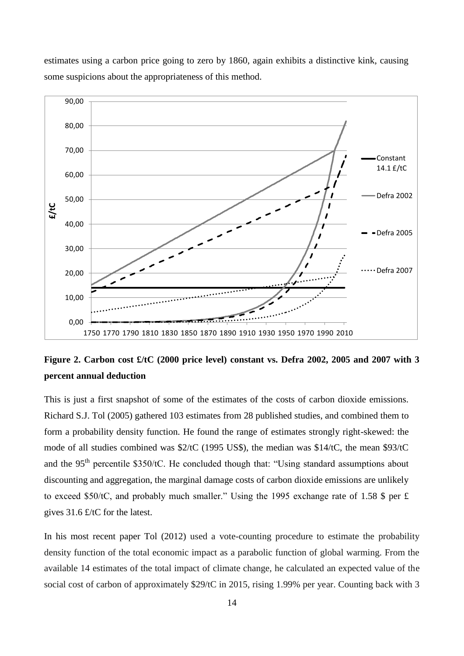estimates using a carbon price going to zero by 1860, again exhibits a distinctive kink, causing some suspicions about the appropriateness of this method.



# **Figure 2. Carbon cost £/tC (2000 price level) constant vs. Defra 2002, 2005 and 2007 with 3 percent annual deduction**

This is just a first snapshot of some of the estimates of the costs of carbon dioxide emissions. Richard S.J. Tol (2005) gathered 103 estimates from 28 published studies, and combined them to form a probability density function. He found the range of estimates strongly right-skewed: the mode of all studies combined was \$2/tC (1995 US\$), the median was \$14/tC, the mean \$93/tC and the 95<sup>th</sup> percentile \$350/tC. He concluded though that: "Using standard assumptions about discounting and aggregation, the marginal damage costs of carbon dioxide emissions are unlikely to exceed \$50/tC, and probably much smaller." Using the 1995 exchange rate of 1.58 \$ per £ gives 31.6 £/tC for the latest.

In his most recent paper Tol (2012) used a vote-counting procedure to estimate the probability density function of the total economic impact as a parabolic function of global warming. From the available 14 estimates of the total impact of climate change, he calculated an expected value of the social cost of carbon of approximately \$29/tC in 2015, rising 1.99% per year. Counting back with 3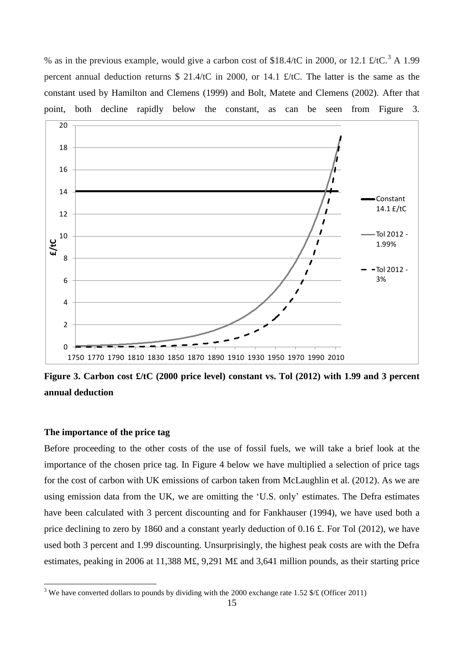% as in the previous example, would give a carbon cost of \$18.4/tC in 2000, or 12.1  $\text{\textsterling}t/\text{tC}$ .<sup>3</sup> A 1.99 percent annual deduction returns \$ 21.4/tC in 2000, or 14.1 £/tC. The latter is the same as the constant used by Hamilton and Clemens (1999) and Bolt, Matete and Clemens (2002). After that point, both decline rapidly below the constant, as can be seen from Figure 3. em<br>stai<br>15<br>18



**Figure 3. Carbon cost £/tC (2000 price level) constant vs. Tol (2012) with 1.99 and 3 percent annual deduction**

# **The importance of the price tag**

1

Before proceeding to the other costs of the use of fossil fuels, we will take a brief look at the importance of the chosen price tag. In Figure 4 below we have multiplied a selection of price tags for the cost of carbon with UK emissions of carbon taken from McLaughlin et al. (2012). As we are using emission data from the UK, we are omitting the 'U.S. only' estimates. The Defra estimates have been calculated with 3 percent discounting and for Fankhauser (1994), we have used both a price declining to zero by 1860 and a constant yearly deduction of 0.16 £. For Tol (2012), we have used both 3 percent and 1.99 discounting. Unsurprisingly, the highest peak costs are with the Defra estimates, peaking in 2006 at 11,388 M£, 9,291 M£ and 3,641 million pounds, as their starting price

<sup>&</sup>lt;sup>3</sup> We have converted dollars to pounds by dividing with the 2000 exchange rate 1.52  $\frac{1}{2}$  (Officer 2011)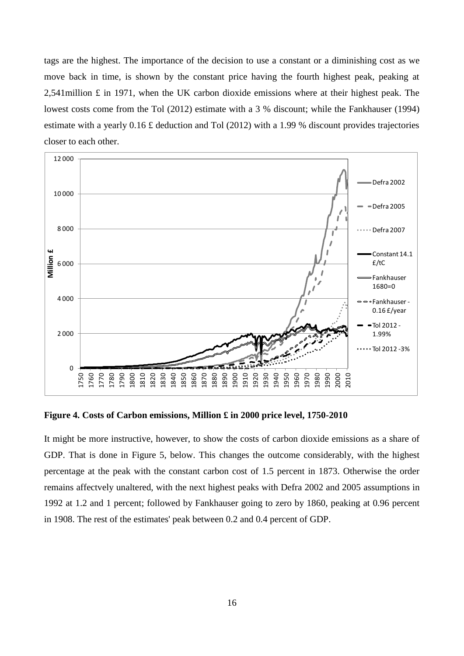tags are the highest. The importance of the decision to use a constant or a diminishing cost as we move back in time, is shown by the constant price having the fourth highest peak, peaking at 2,541 million  $\pounds$  in 1971, when the UK carbon dioxide emissions where at their highest peak. The lowest costs come from the Tol (2012) estimate with a 3 % discount; while the Fankhauser (1994) estimate with a yearly 0.16 £ deduction and Tol (2012) with a 1.99 % discount provides trajectories closer to each other.



**Figure 4. Costs of Carbon emissions, Million £ in 2000 price level, 1750-2010**

It might be more instructive, however, to show the costs of carbon dioxide emissions as a share of GDP. That is done in Figure 5, below. This changes the outcome considerably, with the highest percentage at the peak with the constant carbon cost of 1.5 percent in 1873. Otherwise the order remains affectvely unaltered, with the next highest peaks with Defra 2002 and 2005 assumptions in 1992 at 1.2 and 1 percent; followed by Fankhauser going to zero by 1860, peaking at 0.96 percent in 1908. The rest of the estimates' peak between 0.2 and 0.4 percent of GDP.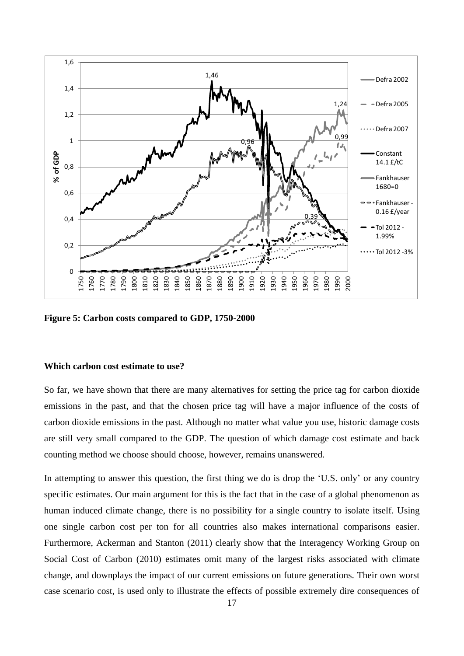

**Figure 5: Carbon costs compared to GDP, 1750-2000**

# **Which carbon cost estimate to use?**

So far, we have shown that there are many alternatives for setting the price tag for carbon dioxide emissions in the past, and that the chosen price tag will have a major influence of the costs of carbon dioxide emissions in the past. Although no matter what value you use, historic damage costs are still very small compared to the GDP. The question of which damage cost estimate and back counting method we choose should choose, however, remains unanswered.

In attempting to answer this question, the first thing we do is drop the 'U.S. only' or any country specific estimates. Our main argument for this is the fact that in the case of a global phenomenon as human induced climate change, there is no possibility for a single country to isolate itself. Using one single carbon cost per ton for all countries also makes international comparisons easier. Furthermore, Ackerman and Stanton (2011) clearly show that the Interagency Working Group on Social Cost of Carbon (2010) estimates omit many of the largest risks associated with climate change, and downplays the impact of our current emissions on future generations. Their own worst case scenario cost, is used only to illustrate the effects of possible extremely dire consequences of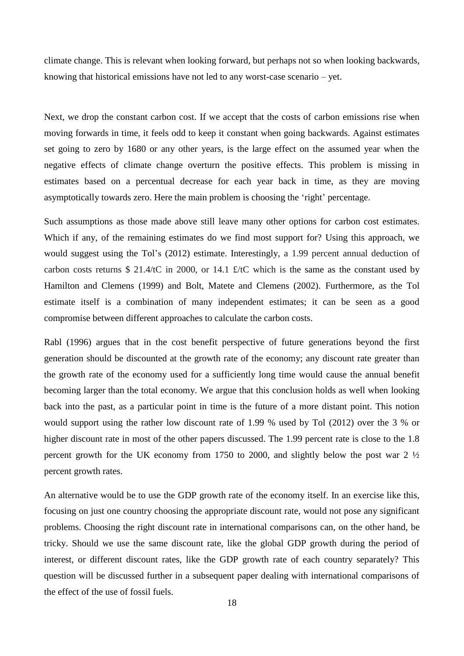climate change. This is relevant when looking forward, but perhaps not so when looking backwards, knowing that historical emissions have not led to any worst-case scenario – yet.

Next, we drop the constant carbon cost. If we accept that the costs of carbon emissions rise when moving forwards in time, it feels odd to keep it constant when going backwards. Against estimates set going to zero by 1680 or any other years, is the large effect on the assumed year when the negative effects of climate change overturn the positive effects. This problem is missing in estimates based on a percentual decrease for each year back in time, as they are moving asymptotically towards zero. Here the main problem is choosing the 'right' percentage.

Such assumptions as those made above still leave many other options for carbon cost estimates. Which if any, of the remaining estimates do we find most support for? Using this approach, we would suggest using the Tol's (2012) estimate. Interestingly, a 1.99 percent annual deduction of carbon costs returns \$ 21.4/tC in 2000, or 14.1 £/tC which is the same as the constant used by Hamilton and Clemens (1999) and Bolt, Matete and Clemens (2002). Furthermore, as the Tol estimate itself is a combination of many independent estimates; it can be seen as a good compromise between different approaches to calculate the carbon costs.

Rabl (1996) argues that in the cost benefit perspective of future generations beyond the first generation should be discounted at the growth rate of the economy; any discount rate greater than the growth rate of the economy used for a sufficiently long time would cause the annual benefit becoming larger than the total economy. We argue that this conclusion holds as well when looking back into the past, as a particular point in time is the future of a more distant point. This notion would support using the rather low discount rate of 1.99 % used by Tol (2012) over the 3 % or higher discount rate in most of the other papers discussed. The 1.99 percent rate is close to the 1.8 percent growth for the UK economy from 1750 to 2000, and slightly below the post war 2 ½ percent growth rates.

An alternative would be to use the GDP growth rate of the economy itself. In an exercise like this, focusing on just one country choosing the appropriate discount rate, would not pose any significant problems. Choosing the right discount rate in international comparisons can, on the other hand, be tricky. Should we use the same discount rate, like the global GDP growth during the period of interest, or different discount rates, like the GDP growth rate of each country separately? This question will be discussed further in a subsequent paper dealing with international comparisons of the effect of the use of fossil fuels.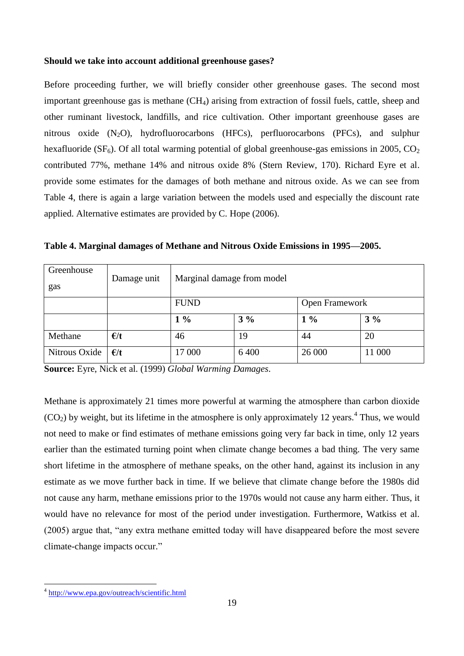# **Should we take into account additional greenhouse gases?**

Before proceeding further, we will briefly consider other greenhouse gases. The second most important greenhouse gas is methane  $(CH<sub>4</sub>)$  arising from extraction of fossil fuels, cattle, sheep and other ruminant livestock, landfills, and rice cultivation. Other important greenhouse gases are nitrous oxide  $(N_2O)$ , hydrofluorocarbons (HFCs), perfluorocarbons (PFCs), and sulphur hexafluoride ( $SF<sub>6</sub>$ ). Of all total warming potential of global greenhouse-gas emissions in 2005, CO<sub>2</sub> contributed 77%, methane 14% and nitrous oxide 8% (Stern Review, 170). Richard Eyre et al. provide some estimates for the damages of both methane and nitrous oxide. As we can see from Table 4, there is again a large variation between the models used and especially the discount rate applied. Alternative estimates are provided by C. Hope (2006).

| Greenhouse<br>gas | Damage unit  | Marginal damage from model |       |                       |        |  |  |
|-------------------|--------------|----------------------------|-------|-----------------------|--------|--|--|
|                   |              | <b>FUND</b>                |       | <b>Open Framework</b> |        |  |  |
|                   |              | $1\%$                      | $3\%$ | $1\%$                 | $3\%$  |  |  |
| Methane           | $\epsilon/t$ | 46                         | 19    | 44                    | 20     |  |  |
| Nitrous Oxide     | $\epsilon/t$ | 17 000                     | 6400  | 26 000                | 11 000 |  |  |

**Table 4. Marginal damages of Methane and Nitrous Oxide Emissions in 1995—2005.**

**Source:** Eyre, Nick et al. (1999) *Global Warming Damages*.

Methane is approximately 21 times more powerful at warming the atmosphere than carbon dioxide  $(CO<sub>2</sub>)$  by weight, but its lifetime in the atmosphere is only approximately 12 years.<sup>4</sup> Thus, we would not need to make or find estimates of methane emissions going very far back in time, only 12 years earlier than the estimated turning point when climate change becomes a bad thing. The very same short lifetime in the atmosphere of methane speaks, on the other hand, against its inclusion in any estimate as we move further back in time. If we believe that climate change before the 1980s did not cause any harm, methane emissions prior to the 1970s would not cause any harm either. Thus, it would have no relevance for most of the period under investigation. Furthermore, Watkiss et al. (2005) argue that, "any extra methane emitted today will have disappeared before the most severe climate-change impacts occur."

1

<sup>&</sup>lt;sup>4</sup> <http://www.epa.gov/outreach/scientific.html>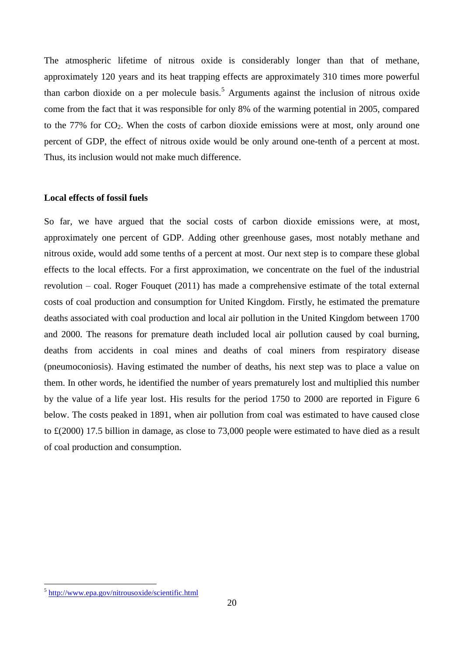The atmospheric lifetime of nitrous oxide is considerably longer than that of methane, approximately 120 years and its heat trapping effects are approximately 310 times more powerful than carbon dioxide on a per molecule basis.<sup>5</sup> Arguments against the inclusion of nitrous oxide come from the fact that it was responsible for only 8% of the warming potential in 2005, compared to the 77% for  $CO_2$ . When the costs of carbon dioxide emissions were at most, only around one percent of GDP, the effect of nitrous oxide would be only around one-tenth of a percent at most. Thus, its inclusion would not make much difference.

## **Local effects of fossil fuels**

So far, we have argued that the social costs of carbon dioxide emissions were, at most, approximately one percent of GDP. Adding other greenhouse gases, most notably methane and nitrous oxide, would add some tenths of a percent at most. Our next step is to compare these global effects to the local effects. For a first approximation, we concentrate on the fuel of the industrial revolution – coal. Roger Fouquet (2011) has made a comprehensive estimate of the total external costs of coal production and consumption for United Kingdom. Firstly, he estimated the premature deaths associated with coal production and local air pollution in the United Kingdom between 1700 and 2000. The reasons for premature death included local air pollution caused by coal burning, deaths from accidents in coal mines and deaths of coal miners from respiratory disease (pneumoconiosis). Having estimated the number of deaths, his next step was to place a value on them. In other words, he identified the number of years prematurely lost and multiplied this number by the value of a life year lost. His results for the period 1750 to 2000 are reported in Figure 6 below. The costs peaked in 1891, when air pollution from coal was estimated to have caused close to £(2000) 17.5 billion in damage, as close to 73,000 people were estimated to have died as a result of coal production and consumption.

1

<sup>&</sup>lt;sup>5</sup> <http://www.epa.gov/nitrousoxide/scientific.html>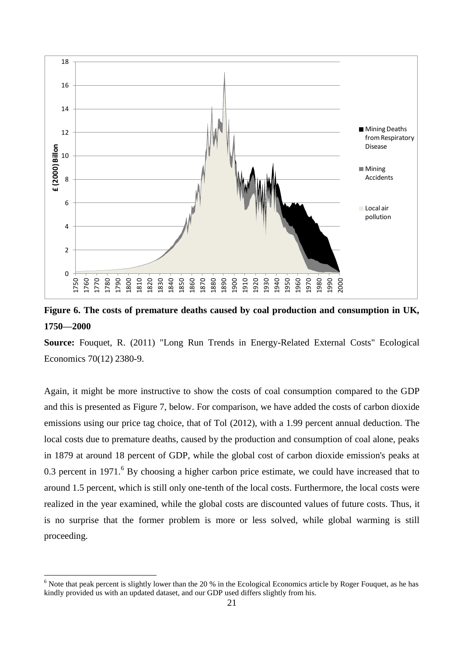

**Figure 6. The costs of premature deaths caused by coal production and consumption in UK, 1750—2000**

**Source:** Fouquet, R. (2011) "Long Run Trends in Energy-Related External Costs" Ecological Economics 70(12) 2380-9.

Again, it might be more instructive to show the costs of coal consumption compared to the GDP and this is presented as Figure 7, below. For comparison, we have added the costs of carbon dioxide emissions using our price tag choice, that of Tol (2012), with a 1.99 percent annual deduction. The local costs due to premature deaths, caused by the production and consumption of coal alone, peaks in 1879 at around 18 percent of GDP, while the global cost of carbon dioxide emission's peaks at 0.3 percent in  $1971<sup>6</sup>$  By choosing a higher carbon price estimate, we could have increased that to around 1.5 percent, which is still only one-tenth of the local costs. Furthermore, the local costs were realized in the year examined, while the global costs are discounted values of future costs. Thus, it is no surprise that the former problem is more or less solved, while global warming is still proceeding.

<u>.</u>

 $6$  Note that peak percent is slightly lower than the 20 % in the Ecological Economics article by Roger Fouquet, as he has kindly provided us with an updated dataset, and our GDP used differs slightly from his.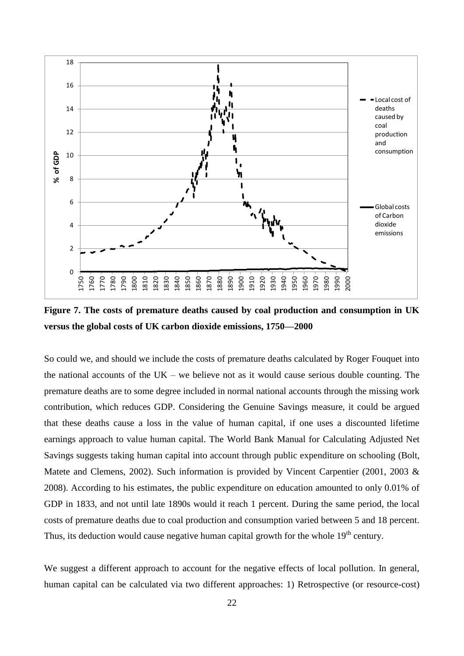

**Figure 7. The costs of premature deaths caused by coal production and consumption in UK versus the global costs of UK carbon dioxide emissions, 1750—2000**

So could we, and should we include the costs of premature deaths calculated by Roger Fouquet into the national accounts of the  $UK -$  we believe not as it would cause serious double counting. The premature deaths are to some degree included in normal national accounts through the missing work contribution, which reduces GDP. Considering the Genuine Savings measure, it could be argued that these deaths cause a loss in the value of human capital, if one uses a discounted lifetime earnings approach to value human capital. The World Bank Manual for Calculating Adjusted Net Savings suggests taking human capital into account through public expenditure on schooling (Bolt, Matete and Clemens, 2002). Such information is provided by Vincent Carpentier (2001, 2003 & 2008). According to his estimates, the public expenditure on education amounted to only 0.01% of GDP in 1833, and not until late 1890s would it reach 1 percent. During the same period, the local costs of premature deaths due to coal production and consumption varied between 5 and 18 percent. Thus, its deduction would cause negative human capital growth for the whole  $19<sup>th</sup>$  century.

We suggest a different approach to account for the negative effects of local pollution. In general, human capital can be calculated via two different approaches: 1) Retrospective (or resource-cost)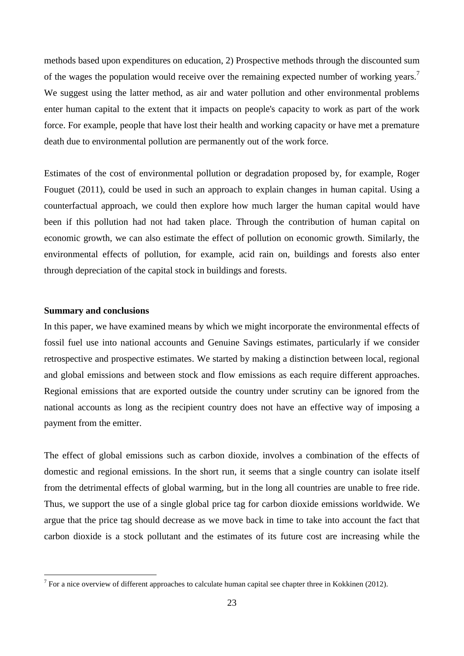methods based upon expenditures on education, 2) Prospective methods through the discounted sum of the wages the population would receive over the remaining expected number of working years.<sup>7</sup> We suggest using the latter method, as air and water pollution and other environmental problems enter human capital to the extent that it impacts on people's capacity to work as part of the work force. For example, people that have lost their health and working capacity or have met a premature death due to environmental pollution are permanently out of the work force.

Estimates of the cost of environmental pollution or degradation proposed by, for example, Roger Fouguet (2011), could be used in such an approach to explain changes in human capital. Using a counterfactual approach, we could then explore how much larger the human capital would have been if this pollution had not had taken place. Through the contribution of human capital on economic growth, we can also estimate the effect of pollution on economic growth. Similarly, the environmental effects of pollution, for example, acid rain on, buildings and forests also enter through depreciation of the capital stock in buildings and forests.

### **Summary and conclusions**

1

In this paper, we have examined means by which we might incorporate the environmental effects of fossil fuel use into national accounts and Genuine Savings estimates, particularly if we consider retrospective and prospective estimates. We started by making a distinction between local, regional and global emissions and between stock and flow emissions as each require different approaches. Regional emissions that are exported outside the country under scrutiny can be ignored from the national accounts as long as the recipient country does not have an effective way of imposing a payment from the emitter.

The effect of global emissions such as carbon dioxide, involves a combination of the effects of domestic and regional emissions. In the short run, it seems that a single country can isolate itself from the detrimental effects of global warming, but in the long all countries are unable to free ride. Thus, we support the use of a single global price tag for carbon dioxide emissions worldwide. We argue that the price tag should decrease as we move back in time to take into account the fact that carbon dioxide is a stock pollutant and the estimates of its future cost are increasing while the

<sup>&</sup>lt;sup>7</sup> For a nice overview of different approaches to calculate human capital see chapter three in Kokkinen (2012).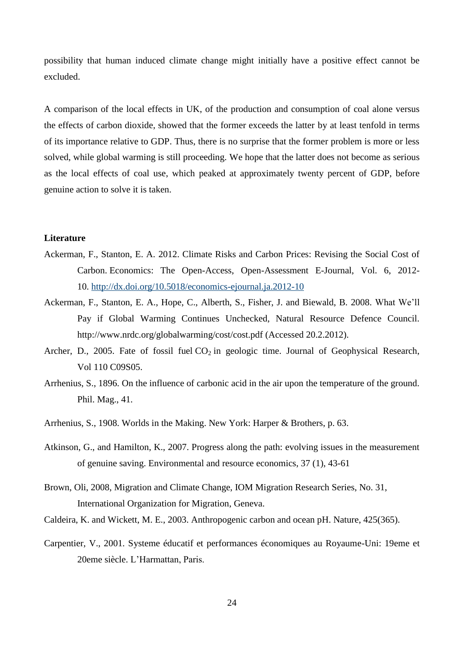possibility that human induced climate change might initially have a positive effect cannot be excluded.

A comparison of the local effects in UK, of the production and consumption of coal alone versus the effects of carbon dioxide, showed that the former exceeds the latter by at least tenfold in terms of its importance relative to GDP. Thus, there is no surprise that the former problem is more or less solved, while global warming is still proceeding. We hope that the latter does not become as serious as the local effects of coal use, which peaked at approximately twenty percent of GDP, before genuine action to solve it is taken.

### **Literature**

- Ackerman, F., Stanton, E. A. 2012. Climate Risks and Carbon Prices: Revising the Social Cost of Carbon. Economics: The Open-Access, Open-Assessment E-Journal, Vol. 6, 2012- 10. <http://dx.doi.org/10.5018/economics-ejournal.ja.2012-10>
- Ackerman, F., Stanton, E. A., Hope, C., Alberth, S., Fisher, J. and Biewald, B. 2008. What We'll Pay if Global Warming Continues Unchecked, Natural Resource Defence Council. http://www.nrdc.org/globalwarming/cost/cost.pdf (Accessed 20.2.2012).
- Archer, D., 2005. Fate of fossil fuel  $CO<sub>2</sub>$  in geologic time. Journal of Geophysical Research, Vol 110 C09S05.
- Arrhenius, S., 1896. On the influence of carbonic acid in the air upon the temperature of the ground. Phil. Mag., 41.
- Arrhenius, S., 1908. Worlds in the Making. New York: Harper & Brothers, p. 63.
- Atkinson, G., and Hamilton, K., 2007. Progress along the path: evolving issues in the measurement of genuine saving. Environmental and resource economics, 37 (1), 43-61
- Brown, Oli, 2008, Migration and Climate Change, IOM Migration Research Series, No. 31, International Organization for Migration, Geneva.
- Caldeira, K. and Wickett, M. E., 2003. Anthropogenic carbon and ocean pH. Nature, 425(365).
- Carpentier, V., 2001. Systeme éducatif et performances économiques au Royaume-Uni: 19eme et 20eme siècle. L'Harmattan, Paris.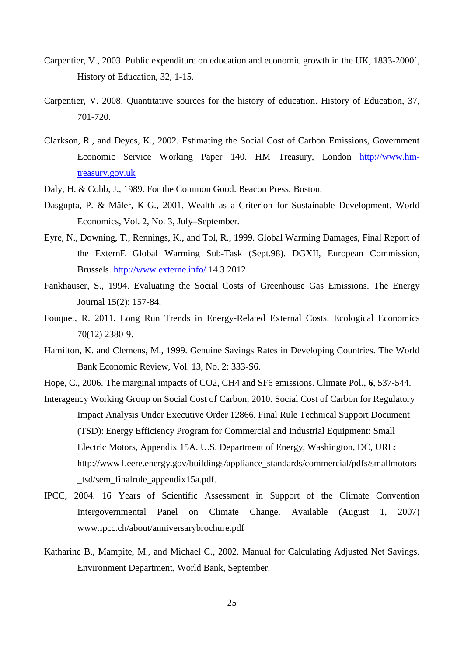- Carpentier, V., 2003. Public expenditure on education and economic growth in the UK, 1833-2000', History of Education, 32, 1-15.
- Carpentier, V. 2008. Quantitative sources for the history of education. History of Education, 37, 701-720.
- Clarkson, R., and Deyes, K., 2002. Estimating the Social Cost of Carbon Emissions, Government Economic Service Working Paper 140. HM Treasury, London [http://www.hm](http://www.hm-treasury.gov.uk/)[treasury.gov.uk](http://www.hm-treasury.gov.uk/)
- Daly, H. & Cobb, J., 1989. For the Common Good. Beacon Press, Boston.
- Dasgupta, P. & Mäler, K-G., 2001. Wealth as a Criterion for Sustainable Development. World Economics, Vol. 2, No. 3, July–September.
- Eyre, N., Downing, T., Rennings, K., and Tol, R., 1999. Global Warming Damages, Final Report of the ExternE Global Warming Sub-Task (Sept.98). DGXII, European Commission, Brussels.<http://www.externe.info/> 14.3.2012
- Fankhauser, S., 1994. Evaluating the Social Costs of Greenhouse Gas Emissions. The Energy Journal 15(2): 157-84.
- Fouquet, R. 2011. Long Run Trends in Energy-Related External Costs. Ecological Economics 70(12) 2380-9.
- Hamilton, K. and Clemens, M., 1999. Genuine Savings Rates in Developing Countries. The World Bank Economic Review, Vol. 13, No. 2: 333-S6.
- Hope, C., 2006. The marginal impacts of CO2, CH4 and SF6 emissions. Climate Pol., **6**, 537-544.
- Interagency Working Group on Social Cost of Carbon, 2010. Social Cost of Carbon for Regulatory Impact Analysis Under Executive Order 12866. Final Rule Technical Support Document (TSD): Energy Efficiency Program for Commercial and Industrial Equipment: Small Electric Motors, Appendix 15A. U.S. Department of Energy, Washington, DC, URL: http://www1.eere.energy.gov/buildings/appliance\_standards/commercial/pdfs/smallmotors \_tsd/sem\_finalrule\_appendix15a.pdf.
- IPCC, 2004. 16 Years of Scientific Assessment in Support of the Climate Convention Intergovernmental Panel on Climate Change. Available (August 1, 2007) www.ipcc.ch/about/anniversarybrochure.pdf
- Katharine B., Mampite, M., and Michael C., 2002. Manual for Calculating Adjusted Net Savings. Environment Department, World Bank, September.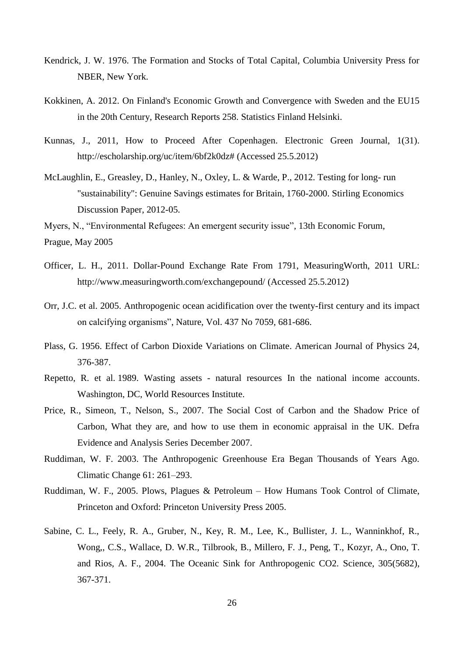- Kendrick, J. W. 1976. The Formation and Stocks of Total Capital, Columbia University Press for NBER, New York.
- Kokkinen, A. 2012. On Finland's Economic Growth and Convergence with Sweden and the EU15 in the 20th Century, Research Reports 258. Statistics Finland Helsinki.
- Kunnas, J., 2011, How to Proceed After Copenhagen. Electronic Green Journal, 1(31). http://escholarship.org/uc/item/6bf2k0dz# (Accessed 25.5.2012)
- McLaughlin, E., Greasley, D., Hanley, N., Oxley, L. & Warde, P., 2012. Testing for long- run "sustainability": Genuine Savings estimates for Britain, 1760-2000. Stirling Economics Discussion Paper, 2012-05.

Myers, N., "Environmental Refugees: An emergent security issue"*,* 13th Economic Forum, Prague, May 2005

- Officer, L. H., 2011. Dollar-Pound Exchange Rate From 1791, MeasuringWorth, 2011 URL: http://www.measuringworth.com/exchangepound/ (Accessed 25.5.2012)
- Orr, J.C. et al. 2005. Anthropogenic ocean acidification over the twenty-first century and its impact on calcifying organisms", Nature, Vol. 437 No 7059, 681-686.
- Plass, G. 1956. Effect of Carbon Dioxide Variations on Climate. American Journal of Physics 24, 376-387.
- Repetto, R. et al. 1989. Wasting assets natural resources In the national income accounts. Washington, DC, World Resources Institute.
- Price, R., Simeon, T., Nelson, S., 2007. The Social Cost of Carbon and the Shadow Price of Carbon, What they are, and how to use them in economic appraisal in the UK. Defra Evidence and Analysis Series December 2007.
- Ruddiman, W. F. 2003. The Anthropogenic Greenhouse Era Began Thousands of Years Ago. Climatic Change 61: 261–293.
- Ruddiman, W. F., 2005. Plows, Plagues & Petroleum How Humans Took Control of Climate, Princeton and Oxford: Princeton University Press 2005.
- Sabine, C. L., Feely, R. A., Gruber, N., Key, R. M., Lee, K., Bullister, J. L., Wanninkhof, R., Wong,, C.S., Wallace, D. W.R., Tilbrook, B., Millero, F. J., Peng, T., Kozyr, A., Ono, T. and Rios, A. F., 2004. The Oceanic Sink for Anthropogenic CO2. Science, 305(5682), 367-371.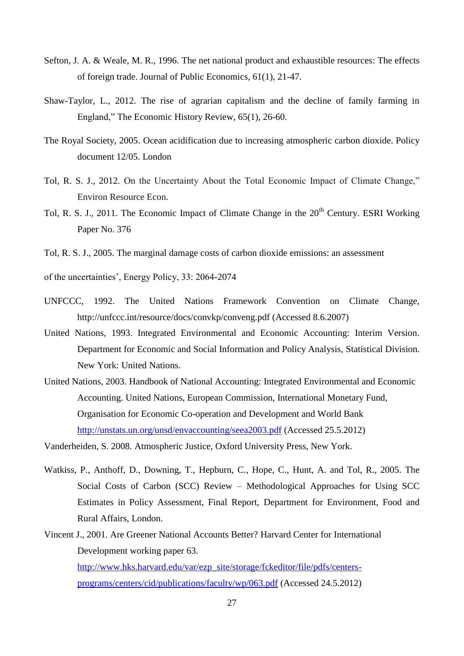- Sefton, J. A. & Weale, M. R., 1996. The net national product and exhaustible resources: The effects of foreign trade. Journal of Public Economics, 61(1), 21-47.
- Shaw-Taylor, L., 2012. The rise of agrarian capitalism and the decline of family farming in England," The Economic History Review, 65(1), 26-60.
- The Royal Society, 2005. Ocean acidification due to increasing atmospheric carbon dioxide. Policy document 12/05. London
- Tol, R. S. J., 2012. On the Uncertainty About the Total Economic Impact of Climate Change," Environ Resource Econ.
- Tol, R. S. J., 2011. The Economic Impact of Climate Change in the  $20<sup>th</sup>$  Century. ESRI Working Paper No. 376
- Tol, R. S. J., 2005. The marginal damage costs of carbon dioxide emissions: an assessment

of the uncertainties', Energy Policy, 33: 2064-2074

- UNFCCC, 1992. The United Nations Framework Convention on Climate Change, http://unfccc.int/resource/docs/convkp/conveng.pdf (Accessed 8.6.2007)
- United Nations, 1993. Integrated Environmental and Economic Accounting: Interim Version. Department for Economic and Social Information and Policy Analysis, Statistical Division. New York: United Nations.
- United Nations, 2003. Handbook of National Accounting: Integrated Environmental and Economic Accounting. United Nations, European Commission, International Monetary Fund, Organisation for Economic Co-operation and Development and World Bank <http://unstats.un.org/unsd/envaccounting/seea2003.pdf> (Accessed 25.5.2012)
- Vanderheiden, S. 2008. Atmospheric Justice, Oxford University Press, New York.
- Watkiss, P., Anthoff, D., Downing, T., Hepburn, C., Hope, C., Hunt, A. and Tol, R., 2005. The Social Costs of Carbon (SCC) Review – Methodological Approaches for Using SCC Estimates in Policy Assessment, Final Report, Department for Environment, Food and Rural Affairs, London.
- Vincent J., 2001. Are Greener National Accounts Better? Harvard Center for International Development working paper 63. [http://www.hks.harvard.edu/var/ezp\\_site/storage/fckeditor/file/pdfs/centers](http://www.hks.harvard.edu/var/ezp_site/storage/fckeditor/file/pdfs/centers-programs/centers/cid/publications/faculty/wp/063.pdf)
	- [programs/centers/cid/publications/faculty/wp/063.pdf](http://www.hks.harvard.edu/var/ezp_site/storage/fckeditor/file/pdfs/centers-programs/centers/cid/publications/faculty/wp/063.pdf) (Accessed 24.5.2012)